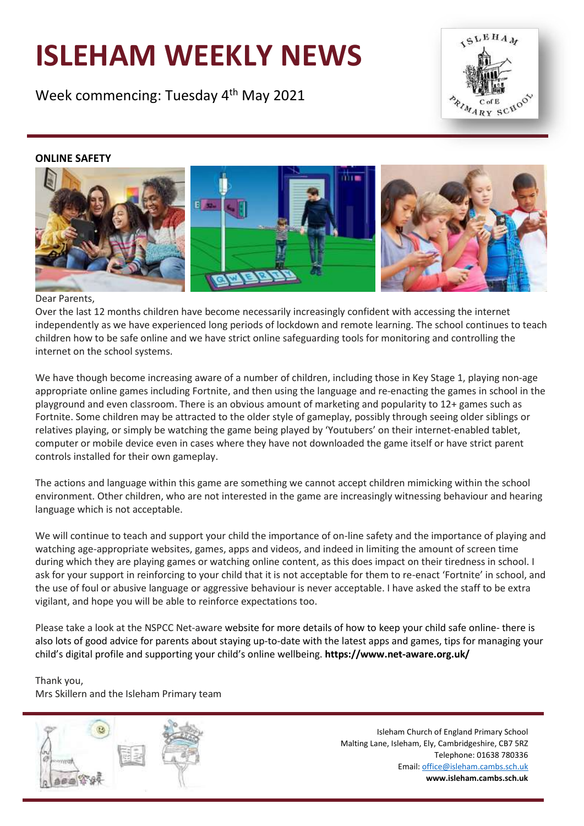# **ISLEHAM WEEKLY NEWS**

Week commencing: Tuesday 4<sup>th</sup> May 2021



# **ONLINE SAFETY**



## Dear Parents,

Over the last 12 months children have become necessarily increasingly confident with accessing the internet independently as we have experienced long periods of lockdown and remote learning. The school continues to teach children how to be safe online and we have strict online safeguarding tools for monitoring and controlling the internet on the school systems.

We have though become increasing aware of a number of children, including those in Key Stage 1, playing non-age appropriate online games including Fortnite, and then using the language and re-enacting the games in school in the playground and even classroom. There is an obvious amount of marketing and popularity to 12+ games such as Fortnite. Some children may be attracted to the older style of gameplay, possibly through seeing older siblings or relatives playing, or simply be watching the game being played by 'Youtubers' on their internet-enabled tablet, computer or mobile device even in cases where they have not downloaded the game itself or have strict parent controls installed for their own gameplay.

The actions and language within this game are something we cannot accept children mimicking within the school environment. Other children, who are not interested in the game are increasingly witnessing behaviour and hearing language which is not acceptable.

We will continue to teach and support your child the importance of on-line safety and the importance of playing and watching age-appropriate websites, games, apps and videos, and indeed in limiting the amount of screen time during which they are playing games or watching online content, as this does impact on their tiredness in school. I ask for your support in reinforcing to your child that it is not acceptable for them to re-enact 'Fortnite' in school, and the use of foul or abusive language or aggressive behaviour is never acceptable. I have asked the staff to be extra vigilant, and hope you will be able to reinforce expectations too.

Please take a look at the NSPCC Net-aware website for more details of how to keep your child safe online- there is also lots of good advice for parents about staying up-to-date with the latest apps and games, tips for managing your child's digital profile and supporting your child's online wellbeing. **https://www.net-aware.org.uk/**

Thank you, Mrs Skillern and the Isleham Primary team



Isleham Church of England Primary School Malting Lane, Isleham, Ely, Cambridgeshire, CB7 5RZ Telephone: 01638 780336 Email[: office@isleham.cambs.sch.uk](mailto:office@isleham.cambs.sch.uk) **www.isleham.cambs.sch.uk**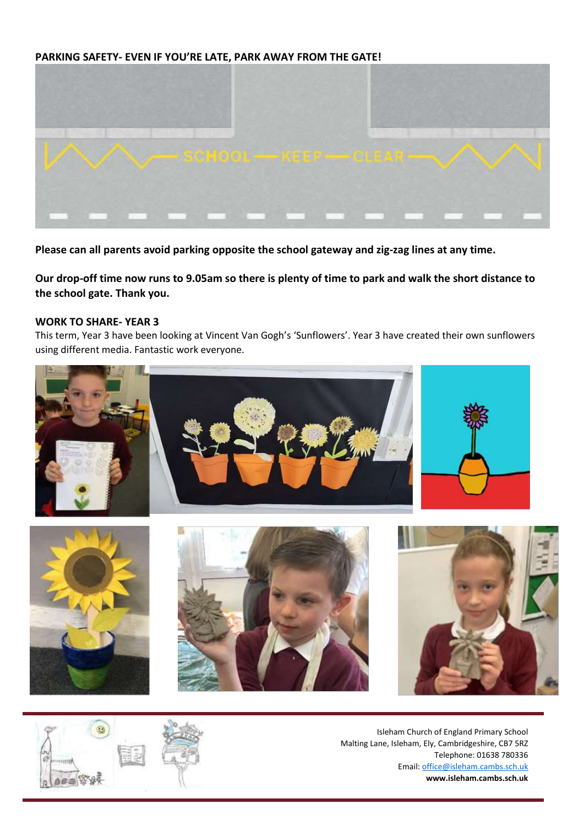# **PARKING SAFETY- EVEN IF YOU'RE LATE, PARK AWAY FROM THE GATE!**



**Please can all parents avoid parking opposite the school gateway and zig-zag lines at any time.**

**Our drop-off time now runs to 9.05am so there is plenty of time to park and walk the short distance to the school gate. Thank you.**

#### **WORK TO SHARE- YEAR 3**

This term, Year 3 have been looking at Vincent Van Gogh's 'Sunflowers'. Year 3 have created their own sunflowers using different media. Fantastic work everyone.





Isleham Church of England Primary School Malting Lane, Isleham, Ely, Cambridgeshire, CB7 5RZ Telephone: 01638 780336 Email[: office@isleham.cambs.sch.uk](mailto:office@isleham.cambs.sch.uk) **www.isleham.cambs.sch.uk**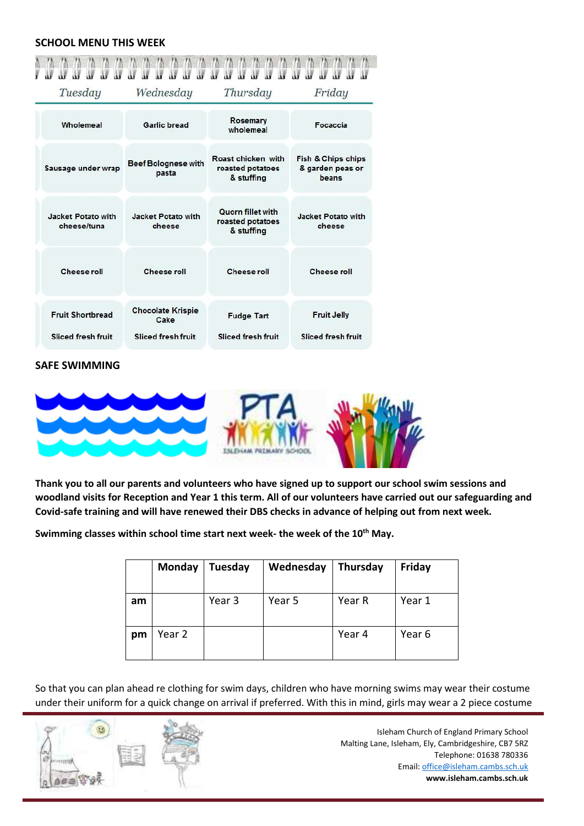#### **SCHOOL MENU THIS WEEK**

| $\mathbf{w}$<br>Tuesday                              | u u u<br>u w<br>W<br>W<br>Ш<br>Wednesday                      | u u u<br>W<br>W<br>w<br>Thursday                           | йř<br>Friday                                    |  |
|------------------------------------------------------|---------------------------------------------------------------|------------------------------------------------------------|-------------------------------------------------|--|
| Wholemeal                                            | <b>Garlic bread</b>                                           | Rosemary<br>wholemeal                                      | Focaccia                                        |  |
| Sausage under wrap                                   | <b>Beef Bolognese with</b><br>pasta                           | Roast chicken with<br>roasted potatoes<br>& stuffing       | Fish & Chips chips<br>& garden peas or<br>beans |  |
| Jacket Potato with<br>cheese/tuna                    | Jacket Potato with<br>cheese                                  | <b>Quorn fillet with</b><br>roasted potatoes<br>& stuffing | <b>Jacket Potato with</b><br>cheese             |  |
| <b>Cheese roll</b>                                   | <b>Cheese roll</b>                                            | <b>Cheese roll</b>                                         | <b>Cheese roll</b>                              |  |
| <b>Fruit Shortbread</b><br><b>Sliced fresh fruit</b> | <b>Chocolate Krispie</b><br>Cake<br><b>Sliced fresh fruit</b> | <b>Fudge Tart</b><br>Sliced fresh fruit                    | <b>Fruit Jelly</b><br><b>Sliced fresh fruit</b> |  |

#### **SAFE SWIMMING**



**Thank you to all our parents and volunteers who have signed up to support our school swim sessions and woodland visits for Reception and Year 1 this term. All of our volunteers have carried out our safeguarding and Covid-safe training and will have renewed their DBS checks in advance of helping out from next week.**

**Swimming classes within school time start next week- the week of the 10 th May.**

|    | Monday | Tuesday | Wednesday | Thursday | Friday |
|----|--------|---------|-----------|----------|--------|
| am |        | Year 3  | Year 5    | Year R   | Year 1 |
| pm | Year 2 |         |           | Year 4   | Year 6 |

So that you can plan ahead re clothing for swim days, children who have morning swims may wear their costume under their uniform for a quick change on arrival if preferred. With this in mind, girls may wear a 2 piece costume



Isleham Church of England Primary School Malting Lane, Isleham, Ely, Cambridgeshire, CB7 5RZ Telephone: 01638 780336 Email[: office@isleham.cambs.sch.uk](mailto:office@isleham.cambs.sch.uk) **www.isleham.cambs.sch.uk**